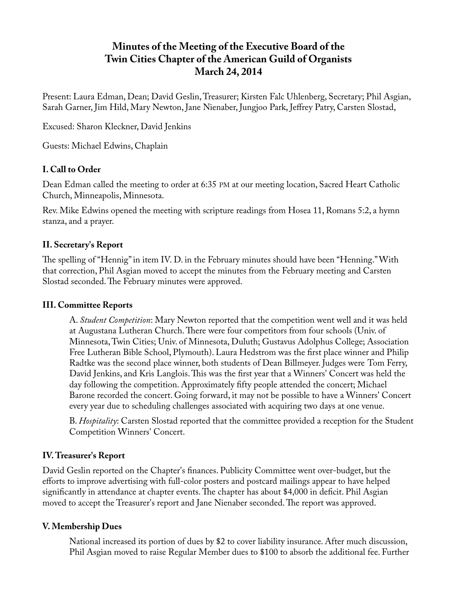# **Minutes of the Meeting of the Executive Board of the Twin Cities Chapter of the American Guild of Organists March 24, 2014**

Present: Laura Edman, Dean; David Geslin, Treasurer; Kirsten Falc Uhlenberg, Secretary; Phil Asgian, Sarah Garner, Jim Hild, Mary Newton, Jane Nienaber, Jungjoo Park, Jeffrey Patry, Carsten Slostad,

Excused: Sharon Kleckner, David Jenkins

Guests: Michael Edwins, Chaplain

## **I. Call to Order**

Dean Edman called the meeting to order at 6:35 PM at our meeting location, Sacred Heart Catholic Church, Minneapolis, Minnesota.

Rev. Mike Edwins opened the meeting with scripture readings from Hosea 11, Romans 5:2, a hymn stanza, and a prayer.

## **II. Secretary's Report**

The spelling of "Hennig" in item IV. D. in the February minutes should have been "Henning." With that correction, Phil Asgian moved to accept the minutes from the February meeting and Carsten Slostad seconded. The February minutes were approved.

## **III. Committee Reports**

A. *Student Competition*: Mary Newton reported that the competition went well and it was held at Augustana Lutheran Church. There were four competitors from four schools (Univ. of Minnesota, Twin Cities; Univ. of Minnesota, Duluth; Gustavus Adolphus College; Association Free Lutheran Bible School, Plymouth). Laura Hedstrom was the first place winner and Philip Radtke was the second place winner, both students of Dean Billmeyer. Judges were Tom Ferry, David Jenkins, and Kris Langlois. This was the first year that a Winners' Concert was held the day following the competition. Approximately fifty people attended the concert; Michael Barone recorded the concert. Going forward, it may not be possible to have a Winners' Concert every year due to scheduling challenges associated with acquiring two days at one venue.

B. *Hospitality*: Carsten Slostad reported that the committee provided a reception for the Student Competition Winners' Concert.

## **IV. Treasurer's Report**

David Geslin reported on the Chapter's finances. Publicity Committee went over-budget, but the efforts to improve advertising with full-color posters and postcard mailings appear to have helped significantly in attendance at chapter events. The chapter has about \$4,000 in deficit. Phil Asgian moved to accept the Treasurer's report and Jane Nienaber seconded. The report was approved.

## **V. Membership Dues**

National increased its portion of dues by \$2 to cover liability insurance. After much discussion, Phil Asgian moved to raise Regular Member dues to \$100 to absorb the additional fee. Further